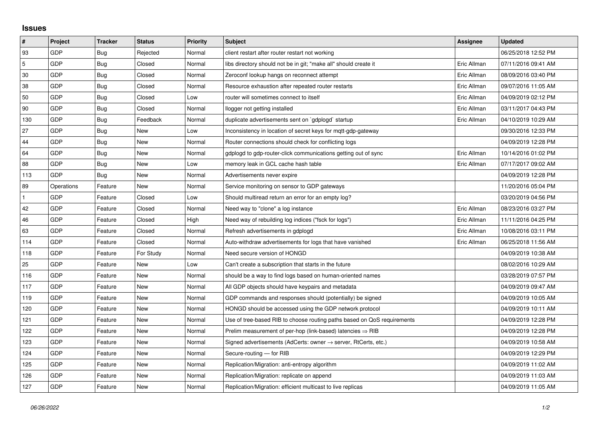## **Issues**

| $\pmb{\sharp}$ | Project    | <b>Tracker</b> | <b>Status</b> | <b>Priority</b> | <b>Subject</b>                                                             | Assignee    | <b>Updated</b>      |
|----------------|------------|----------------|---------------|-----------------|----------------------------------------------------------------------------|-------------|---------------------|
| 93             | GDP        | Bug            | Rejected      | Normal          | client restart after router restart not working                            |             | 06/25/2018 12:52 PM |
| 5              | GDP        | Bug            | Closed        | Normal          | libs directory should not be in git; "make all" should create it           | Eric Allman | 07/11/2016 09:41 AM |
| 30             | GDP        | <b>Bug</b>     | Closed        | Normal          | Zeroconf lookup hangs on reconnect attempt                                 | Eric Allman | 08/09/2016 03:40 PM |
| 38             | GDP        | Bug            | Closed        | Normal          | Resource exhaustion after repeated router restarts                         | Eric Allman | 09/07/2016 11:05 AM |
| 50             | GDP        | Bug            | Closed        | Low             | router will sometimes connect to itself                                    | Eric Allman | 04/09/2019 02:12 PM |
| 90             | GDP        | <b>Bug</b>     | Closed        | Normal          | llogger not getting installed                                              | Eric Allman | 03/11/2017 04:43 PM |
| 130            | GDP        | Bug            | Feedback      | Normal          | duplicate advertisements sent on `gdplogd` startup                         | Eric Allman | 04/10/2019 10:29 AM |
| 27             | GDP        | <b>Bug</b>     | New           | Low             | Inconsistency in location of secret keys for mgtt-gdp-gateway              |             | 09/30/2016 12:33 PM |
| 44             | GDP        | Bug            | New           | Normal          | Router connections should check for conflicting logs                       |             | 04/09/2019 12:28 PM |
| 64             | GDP        | <b>Bug</b>     | New           | Normal          | gdplogd to gdp-router-click communications getting out of sync             | Eric Allman | 10/14/2016 01:02 PM |
| 88             | GDP        | Bug            | New           | Low             | memory leak in GCL cache hash table                                        | Eric Allman | 07/17/2017 09:02 AM |
| 113            | GDP        | Bug            | New           | Normal          | Advertisements never expire                                                |             | 04/09/2019 12:28 PM |
| 89             | Operations | Feature        | New           | Normal          | Service monitoring on sensor to GDP gateways                               |             | 11/20/2016 05:04 PM |
|                | GDP        | Feature        | Closed        | Low             | Should multiread return an error for an empty log?                         |             | 03/20/2019 04:56 PM |
| 42             | GDP        | Feature        | Closed        | Normal          | Need way to "clone" a log instance                                         | Eric Allman | 08/23/2016 03:27 PM |
| 46             | GDP        | Feature        | Closed        | High            | Need way of rebuilding log indices ("fsck for logs")                       | Eric Allman | 11/11/2016 04:25 PM |
| 63             | GDP        | Feature        | Closed        | Normal          | Refresh advertisements in gdplogd                                          | Eric Allman | 10/08/2016 03:11 PM |
| 114            | GDP        | Feature        | Closed        | Normal          | Auto-withdraw advertisements for logs that have vanished                   | Eric Allman | 06/25/2018 11:56 AM |
| 118            | GDP        | Feature        | For Study     | Normal          | Need secure version of HONGD                                               |             | 04/09/2019 10:38 AM |
| 25             | GDP        | Feature        | New           | Low             | Can't create a subscription that starts in the future                      |             | 08/02/2016 10:29 AM |
| 116            | GDP        | Feature        | <b>New</b>    | Normal          | should be a way to find logs based on human-oriented names                 |             | 03/28/2019 07:57 PM |
| 117            | GDP        | Feature        | New           | Normal          | All GDP objects should have keypairs and metadata                          |             | 04/09/2019 09:47 AM |
| 119            | GDP        | Feature        | New           | Normal          | GDP commands and responses should (potentially) be signed                  |             | 04/09/2019 10:05 AM |
| 120            | GDP        | Feature        | New           | Normal          | HONGD should be accessed using the GDP network protocol                    |             | 04/09/2019 10:11 AM |
| 121            | GDP        | Feature        | New           | Normal          | Use of tree-based RIB to choose routing paths based on QoS requirements    |             | 04/09/2019 12:28 PM |
| 122            | GDP        | Feature        | New           | Normal          | Prelim measurement of per-hop (link-based) latencies $\Rightarrow$ RIB     |             | 04/09/2019 12:28 PM |
| 123            | GDP        | Feature        | New           | Normal          | Signed advertisements (AdCerts: owner $\rightarrow$ server, RtCerts, etc.) |             | 04/09/2019 10:58 AM |
| 124            | GDP        | Feature        | New           | Normal          | Secure-routing - for RIB                                                   |             | 04/09/2019 12:29 PM |
| 125            | GDP        | Feature        | New           | Normal          | Replication/Migration: anti-entropy algorithm                              |             | 04/09/2019 11:02 AM |
| 126            | GDP        | Feature        | New           | Normal          | Replication/Migration: replicate on append                                 |             | 04/09/2019 11:03 AM |
| 127            | GDP        | Feature        | New           | Normal          | Replication/Migration: efficient multicast to live replicas                |             | 04/09/2019 11:05 AM |